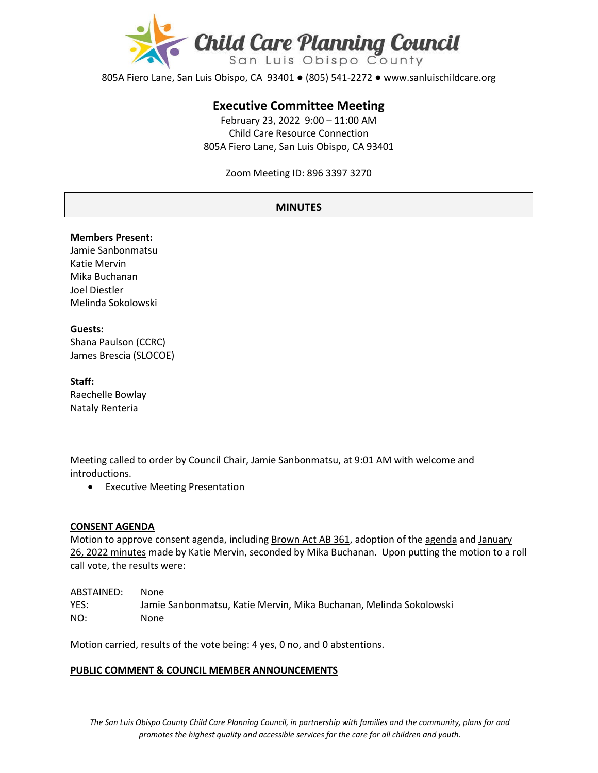

805A Fiero Lane, San Luis Obispo, CA 93401 ● (805) 541-2272 ● www.sanluischildcare.org

# **Executive Committee Meeting**

February 23, 2022 9:00 – 11:00 AM Child Care Resource Connection 805A Fiero Lane, San Luis Obispo, CA 93401

Zoom Meeting ID: 896 3397 3270

# **MINUTES**

#### **Members Present:**

Jamie Sanbonmatsu Katie Mervin Mika Buchanan Joel Diestler Melinda Sokolowski

#### **Guests:**

Shana Paulson (CCRC) James Brescia (SLOCOE)

#### **Staff:**

Raechelle Bowlay Nataly Renteria

Meeting called to order by Council Chair, Jamie Sanbonmatsu, at 9:01 AM with welcome and introductions.

• [Executive Meeting Presentation](https://drive.google.com/file/d/1BE1nYZ77cYgs09P3wW04KAXxyJFk6Yva/view?usp=sharing) 

#### **CONSENT AGENDA**

Motion to approve consent agenda, including [Brown Act AB 361,](https://drive.google.com/file/d/1szF_q7whjy3VPcRDP1wQf1W8ICXJ02bN/view?usp=sharing) adoption of th[e agenda](https://drive.google.com/file/d/17TedANsWQyAw2qpfdQ-DhnmXUTefqbtG/view?usp=sharing) and January [26, 2022](https://drive.google.com/file/d/1IhlP4DeeAjxyd-u6p1bpeBfAR1Q41zxp/view?usp=sharing) minutes made by Katie Mervin, seconded by Mika Buchanan. Upon putting the motion to a roll call vote, the results were:

| ABSTAINED: | None.                                                              |
|------------|--------------------------------------------------------------------|
| YES:       | Jamie Sanbonmatsu. Katie Mervin. Mika Buchanan. Melinda Sokolowski |
| NO:        | None                                                               |

Motion carried, results of the vote being: 4 yes, 0 no, and 0 abstentions.

## **PUBLIC COMMENT & COUNCIL MEMBER ANNOUNCEMENTS**

*The San Luis Obispo County Child Care Planning Council, in partnership with families and the community, plans for and promotes the highest quality and accessible services for the care for all children and youth.*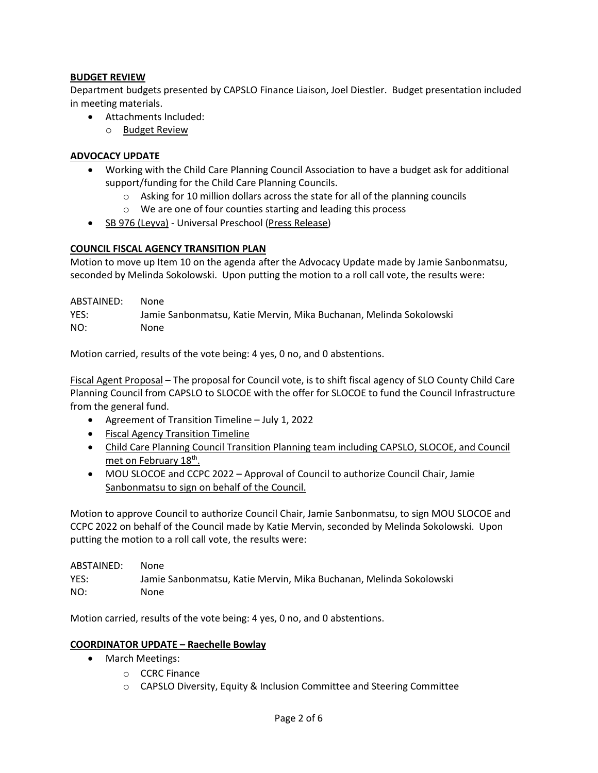# **BUDGET REVIEW**

Department budgets presented by CAPSLO Finance Liaison, Joel Diestler. Budget presentation included in meeting materials.

- Attachments Included:
	- o [Budget Review](https://drive.google.com/file/d/1hZJKFVBvBnHSVdAYDM6qdcP4jjSF_AgI/view?usp=sharing)

# **ADVOCACY UPDATE**

- Working with the Child Care Planning Council Association to have a budget ask for additional support/funding for the Child Care Planning Councils.
	- o Asking for 10 million dollars across the state for all of the planning councils
	- o We are one of four counties starting and leading this process
- [SB 976 \(Leyva\)](https://leginfo.legislature.ca.gov/faces/billNavClient.xhtml?bill_id=202120220SB976) Universal Preschool [\(Press Release\)](https://sd20.senate.ca.gov/news/2022-02-10-senator-leyva-working-families-need-true-access-universal-preschool)

## **COUNCIL FISCAL AGENCY TRANSITION PLAN**

Motion to move up Item 10 on the agenda after the Advocacy Update made by Jamie Sanbonmatsu, seconded by Melinda Sokolowski. Upon putting the motion to a roll call vote, the results were:

| ABSTAINED: | None                                                               |
|------------|--------------------------------------------------------------------|
| YES:       | Jamie Sanbonmatsu. Katie Mervin. Mika Buchanan. Melinda Sokolowski |
| NO:        | None                                                               |

Motion carried, results of the vote being: 4 yes, 0 no, and 0 abstentions.

[Fiscal Agent Proposal](http://www.sanluischildcare.org/fiscal-agent-proposal.html) – The proposal for Council vote, is to shift fiscal agency of SLO County Child Care Planning Council from CAPSLO to SLOCOE with the offer for SLOCOE to fund the Council Infrastructure from the general fund.

- Agreement of Transition Timeline July 1, 2022
- [Fiscal Agency Transition Timeline](https://docs.google.com/document/d/18QGLBHfYy8R_X4f7GT9_Kptdrw7O-tLxDzTm3H1Q4zs/edit)
- Child Care Planning Council Transition Planning team including CAPSLO, SLOCOE, and Council met on February 18<sup>th</sup>.
- [MOU SLOCOE and CCPC 2022](https://drive.google.com/file/d/1EGl2Cwrf7Ba5S8w9Nei6KgXgPJfvfdxg/view) Approval of Council to authorize Council Chair, Jamie Sanbonmatsu to sign on behalf of the Council.

Motion to approve Council to authorize Council Chair, Jamie Sanbonmatsu, to sign MOU SLOCOE and CCPC 2022 on behalf of the Council made by Katie Mervin, seconded by Melinda Sokolowski. Upon putting the motion to a roll call vote, the results were:

ABSTAINED: None YES: Jamie Sanbonmatsu, Katie Mervin, Mika Buchanan, Melinda Sokolowski NO: None

Motion carried, results of the vote being: 4 yes, 0 no, and 0 abstentions.

# **COORDINATOR UPDATE – Raechelle Bowlay**

- March Meetings:
	- o CCRC Finance
	- o CAPSLO Diversity, Equity & Inclusion Committee and Steering Committee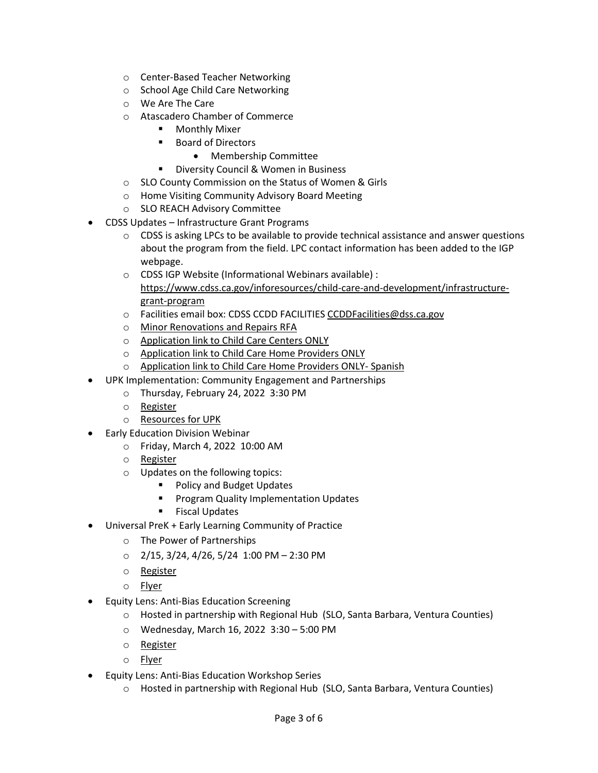- o Center-Based Teacher Networking
- o School Age Child Care Networking
- o We Are The Care
- o Atascadero Chamber of Commerce
	- Monthly Mixer
	- Board of Directors
		- Membership Committee
	- **Diversity Council & Women in Business**
- o SLO County Commission on the Status of Women & Girls
- o Home Visiting Community Advisory Board Meeting
- o SLO REACH Advisory Committee
- CDSS Updates Infrastructure Grant Programs
	- o CDSS is asking LPCs to be available to provide technical assistance and answer questions about the program from the field. LPC contact information has been added to the IGP webpage.
	- o CDSS IGP Website (Informational Webinars available) : [https://www.cdss.ca.gov/inforesources/child](https://www.cdss.ca.gov/inforesources/child-care-and-development/infrastructure-grant-program)-care-and-development/infrastructuregrant-[program](https://www.cdss.ca.gov/inforesources/child-care-and-development/infrastructure-grant-program)
	- o Facilities email box: CDSS CCDD FACILITIE[S CCDDFacilities@dss.ca.gov](http://dss.ca.gov/)
	- o [Minor Renovations and Repairs RFA](https://www.cdss.ca.gov/inforesources/child-care-and-development/infrastructure-grant-program/minor-renovation-and-repairs)
	- o [Application link to Child Care Centers ONLY](https://liifund.submittable.com/submit/6c24072d-1065-4a56-bff3-34bac7d70e0e/igp-rfa-1-minor-renovation-and-repairs-grant-program-child-care-center)
	- o [Application link to Child Care Home Providers ONLY](https://liifund.submittable.com/submit/12d7b63d-42a9-4b29-b341-98bb09daca2f/igp-rfa1-minor-renovation-and-repairs-grant-program-family-child-care/eligibility)
	- o [Application link to Child Care Home Providers ONLY](https://liifund.submittable.com/submit/5451d840-819f-43db-b3b0-f830f217054c/igp-rfa1-programa-de-subvenciones-para-reparaciones-y-renovaciones-menores-cui) Spanish
- UPK Implementation: Community Engagement and Partnerships
	- o Thursday, February 24, 2022 3:30 PM
	- o [Register](https://us02web.zoom.us/webinar/register/WN_izv2D5GQR2ee3bg0Fqu6cg)
	- o [Resources for UPK](https://www.cde.ca.gov/ci/gs/em/)
- Early Education Division Webinar
	- o Friday, March 4, 2022 10:00 AM
		- o [Register](https://us02web.zoom.us/j/83402474330#success)
		- o Updates on the following topics:
			- **Policy and Budget Updates**
			- Program Quality Implementation Updates
			- **Fiscal Updates**
- Universal PreK + Early Learning Community of Practice
	- o The Power of Partnerships
	- $O$  2/15, 3/24, 4/26, 5/24 1:00 PM 2:30 PM
	- o [Register](https://slocoe.k12oms.org/2535-213646)
	- o [Flyer](https://drive.google.com/file/d/1DNHpvKJDs6WS2pWdkaTaU8jH7s8eDxzP/view?usp=sharing)
- Equity Lens: Anti-Bias Education Screening
	- o Hosted in partnership with Regional Hub (SLO, Santa Barbara, Ventura Counties)
	- o Wednesday, March 16, 2022 3:30 5:00 PM
	- o [Register](https://vcoe.k12oms.org/1618-214927)
	- o [Flyer](https://drive.google.com/file/d/1kptFTiR1HCWOrn3D0J5rnzwVqy0HcYxq/view?usp=sharing)
- Equity Lens: Anti-Bias Education Workshop Series
	- o Hosted in partnership with Regional Hub (SLO, Santa Barbara, Ventura Counties)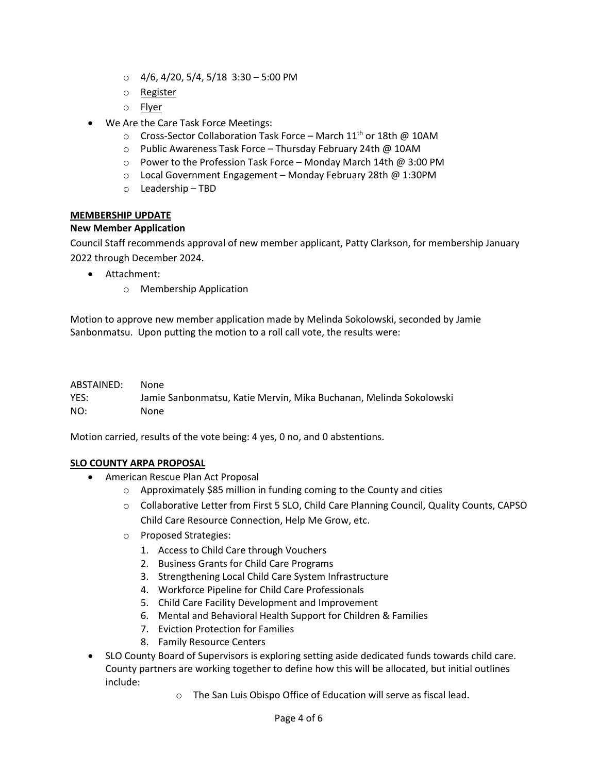- $\circ$  4/6, 4/20, 5/4, 5/18 3:30 5:00 PM
- o [Register](https://us02web.zoom.us/meeting/register/tZUlcuyurD8jE90Mjui1V7V-IVzkE1fKMEpZ)
- o [Flyer](https://drive.google.com/file/d/1XNAoGm_GS9HUmzhzacnWgsvYM7Clq7Yz/view?usp=sharing)
- We Are the Care Task Force Meetings:
	- $\circ$  Cross-Sector Collaboration Task Force March 11<sup>th</sup> or 18th @ 10AM
	- o Public Awareness Task Force Thursday February 24th @ 10AM
	- o Power to the Profession Task Force Monday March 14th @ 3:00 PM
	- o Local Government Engagement Monday February 28th @ 1:30PM
	- o Leadership TBD

## **MEMBERSHIP UPDATE**

## **New Member Application**

Council Staff recommends approval of new member applicant, Patty Clarkson, for membership January 2022 through December 2024.

- Attachment:
	- o Membership Application

Motion to approve new member application made by Melinda Sokolowski, seconded by Jamie Sanbonmatsu. Upon putting the motion to a roll call vote, the results were:

| ABSTAINED: | None                                                               |
|------------|--------------------------------------------------------------------|
| YES:       | Jamie Sanbonmatsu, Katie Mervin, Mika Buchanan, Melinda Sokolowski |
| NO:        | None                                                               |

Motion carried, results of the vote being: 4 yes, 0 no, and 0 abstentions.

## **SLO COUNTY ARPA PROPOSAL**

- American Rescue Plan Act Proposal
	- o Approximately \$85 million in funding coming to the County and cities
	- o Collaborative Letter from First 5 SLO, Child Care Planning Council, Quality Counts, CAPSO Child Care Resource Connection, Help Me Grow, etc.
	- o Proposed Strategies:
		- 1. Access to Child Care through Vouchers
		- 2. Business Grants for Child Care Programs
		- 3. Strengthening Local Child Care System Infrastructure
		- 4. Workforce Pipeline for Child Care Professionals
		- 5. Child Care Facility Development and Improvement
		- 6. Mental and Behavioral Health Support for Children & Families
		- 7. Eviction Protection for Families
		- 8. Family Resource Centers
- SLO County Board of Supervisors is exploring setting aside dedicated funds towards child care. County partners are working together to define how this will be allocated, but initial outlines include:
	- o The San Luis Obispo Office of Education will serve as fiscal lead.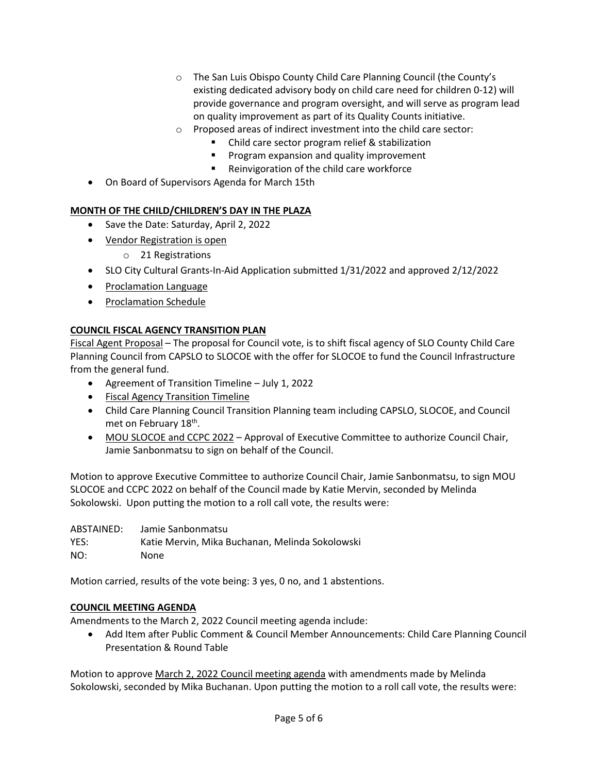- o The San Luis Obispo County Child Care Planning Council (the County's existing dedicated advisory body on child care need for children 0-12) will provide governance and program oversight, and will serve as program lead on quality improvement as part of its Quality Counts initiative.
- o Proposed areas of indirect investment into the child care sector:
	- Child care sector program relief & stabilization
	- **Program expansion and quality improvement**
	- **Reinvigoration of the child care workforce**
- On Board of Supervisors Agenda for March 15th

# **MONTH OF THE CHILD/CHILDREN'S DAY IN THE PLAZA**

- Save the Date: Saturday, April 2, 2022
- [Vendor Registration is open](https://docs.google.com/forms/d/e/1FAIpQLSdOiV-umokwiy2wCOnd-EyvvAAyW4k2L4hNw17lvHWfBuk4ng/viewform)
	- o 21 Registrations
- SLO City Cultural Grants-In-Aid Application submitted 1/31/2022 and approved 2/12/2022
- [Proclamation Language](https://docs.google.com/document/d/1znms9FKFfiKZXO-xW4WSYD9lsDms6exv/edit)
- [Proclamation Schedule](https://docs.google.com/document/d/1N03fbrC5rwle81GM3hMksND9opDEf2UL/edit?rtpof=true&sd=true)

# **COUNCIL FISCAL AGENCY TRANSITION PLAN**

[Fiscal Agent Proposal](http://www.sanluischildcare.org/fiscal-agent-proposal.html) – The proposal for Council vote, is to shift fiscal agency of SLO County Child Care Planning Council from CAPSLO to SLOCOE with the offer for SLOCOE to fund the Council Infrastructure from the general fund.

- Agreement of Transition Timeline July 1, 2022
- [Fiscal Agency Transition Timeline](https://docs.google.com/document/d/18QGLBHfYy8R_X4f7GT9_Kptdrw7O-tLxDzTm3H1Q4zs/edit)
- Child Care Planning Council Transition Planning team including CAPSLO, SLOCOE, and Council met on February 18th.
- [MOU SLOCOE and CCPC 2022](https://drive.google.com/file/d/1EGl2Cwrf7Ba5S8w9Nei6KgXgPJfvfdxg/view) Approval of Executive Committee to authorize Council Chair, Jamie Sanbonmatsu to sign on behalf of the Council.

Motion to approve Executive Committee to authorize Council Chair, Jamie Sanbonmatsu, to sign MOU SLOCOE and CCPC 2022 on behalf of the Council made by Katie Mervin, seconded by Melinda Sokolowski. Upon putting the motion to a roll call vote, the results were:

| ABSTAINED: | Jamie Sanbonmatsu                               |
|------------|-------------------------------------------------|
| YES:       | Katie Mervin, Mika Buchanan, Melinda Sokolowski |
| NO:        | None.                                           |

Motion carried, results of the vote being: 3 yes, 0 no, and 1 abstentions.

## **COUNCIL MEETING AGENDA**

Amendments to the March 2, 2022 Council meeting agenda include:

• Add Item after Public Comment & Council Member Announcements: Child Care Planning Council Presentation & Round Table

Motion to approve March 2, 2022 [Council meeting agenda](https://drive.google.com/file/d/1FONElW4zGAh0_l5RSR-SFdht20i6WjgE/view?usp=sharing) with amendments made by Melinda Sokolowski, seconded by Mika Buchanan. Upon putting the motion to a roll call vote, the results were: